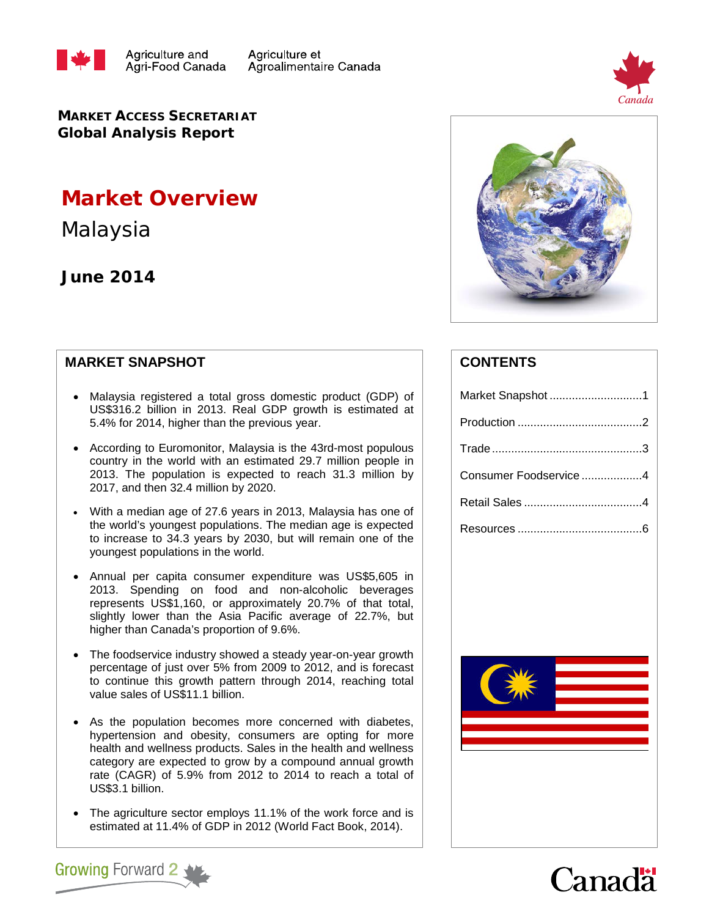



**MARKET ACCESS SECRETARIAT Global Analysis Report**

# **Market Overview**

Malaysia

# **June 2014**

### **MARKET SNAPSHOT**

**Growing Forward 2** 

- Malaysia registered a total gross domestic product (GDP) of US\$316.2 billion in 2013. Real GDP growth is estimated at 5.4% for 2014, higher than the previous year.
- According to Euromonitor, Malaysia is the 43rd-most populous country in the world with an estimated 29.7 million people in 2013. The population is expected to reach 31.3 million by 2017, and then 32.4 million by 2020.
- With a median age of 27.6 years in 2013, Malaysia has one of the world's youngest populations. The median age is expected to increase to 34.3 years by 2030, but will remain one of the youngest populations in the world.
- Annual per capita consumer expenditure was US\$5,605 in 2013. Spending on food and non-alcoholic beverages represents US\$1,160, or approximately 20.7% of that total, slightly lower than the Asia Pacific average of 22.7%, but higher than Canada's proportion of 9.6%.
- The foodservice industry showed a steady year-on-year growth percentage of just over 5% from 2009 to 2012, and is forecast to continue this growth pattern through 2014, reaching total value sales of US\$11.1 billion.
- As the population becomes more concerned with diabetes, hypertension and obesity, consumers are opting for more health and wellness products. Sales in the health and wellness category are expected to grow by a compound annual growth rate (CAGR) of 5.9% from 2012 to 2014 to reach a total of US\$3.1 billion.
- The agriculture sector employs 11.1% of the work force and is estimated at 11.4% of GDP in 2012 (World Fact Book, 2014).



## **CONTENTS**

| Market Snapshot1      |
|-----------------------|
|                       |
|                       |
| Consumer Foodservice4 |
|                       |
|                       |
|                       |



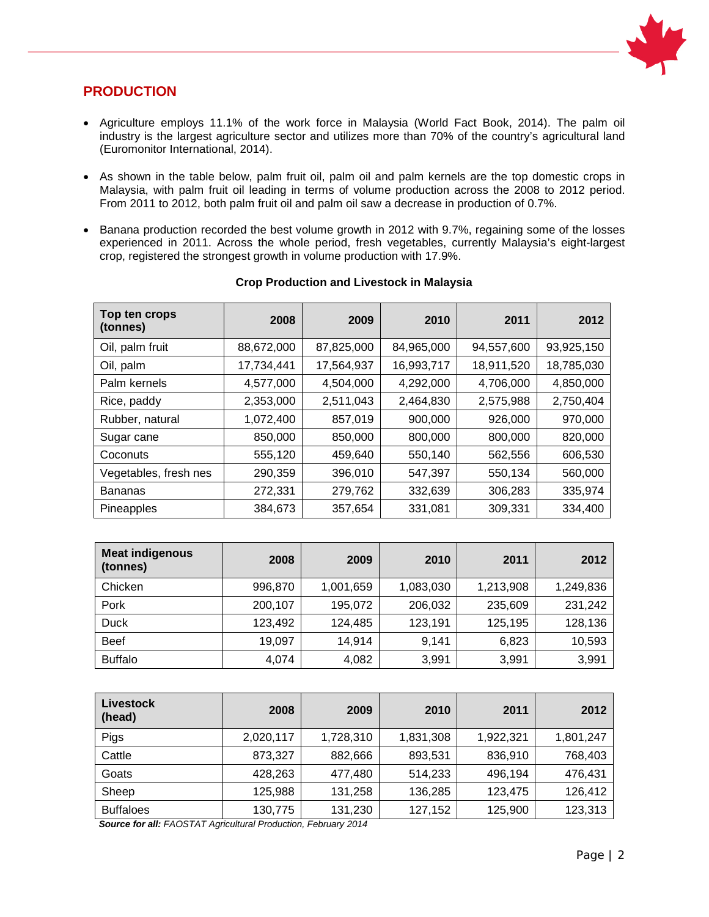

### **PRODUCTION**

- Agriculture employs 11.1% of the work force in Malaysia (World Fact Book, 2014). The palm oil industry is the largest agriculture sector and utilizes more than 70% of the country's agricultural land (Euromonitor International, 2014).
- As shown in the table below, palm fruit oil, palm oil and palm kernels are the top domestic crops in Malaysia, with palm fruit oil leading in terms of volume production across the 2008 to 2012 period. From 2011 to 2012, both palm fruit oil and palm oil saw a decrease in production of 0.7%.
- Banana production recorded the best volume growth in 2012 with 9.7%, regaining some of the losses experienced in 2011. Across the whole period, fresh vegetables, currently Malaysia's eight-largest crop, registered the strongest growth in volume production with 17.9%.

| Top ten crops<br>(tonnes) | 2008       | 2009       | 2010       | 2011       | 2012       |
|---------------------------|------------|------------|------------|------------|------------|
| Oil, palm fruit           | 88,672,000 | 87,825,000 | 84,965,000 | 94,557,600 | 93,925,150 |
| Oil, palm                 | 17,734,441 | 17,564,937 | 16,993,717 | 18,911,520 | 18,785,030 |
| Palm kernels              | 4,577,000  | 4,504,000  | 4,292,000  | 4,706,000  | 4,850,000  |
| Rice, paddy               | 2,353,000  | 2,511,043  | 2,464,830  | 2,575,988  | 2,750,404  |
| Rubber, natural           | 1,072,400  | 857,019    | 900,000    | 926,000    | 970,000    |
| Sugar cane                | 850,000    | 850,000    | 800,000    | 800,000    | 820,000    |
| Coconuts                  | 555,120    | 459,640    | 550,140    | 562,556    | 606,530    |
| Vegetables, fresh nes     | 290,359    | 396,010    | 547,397    | 550,134    | 560,000    |
| <b>Bananas</b>            | 272,331    | 279,762    | 332,639    | 306,283    | 335,974    |
| Pineapples                | 384,673    | 357,654    | 331,081    | 309,331    | 334,400    |

#### **Crop Production and Livestock in Malaysia**

| <b>Meat indigenous</b><br>(tonnes) | 2008    | 2009      | 2010      | 2011      | 2012      |
|------------------------------------|---------|-----------|-----------|-----------|-----------|
| Chicken                            | 996,870 | 1,001,659 | 1,083,030 | 1,213,908 | 1,249,836 |
| Pork                               | 200,107 | 195,072   | 206,032   | 235,609   | 231,242   |
| <b>Duck</b>                        | 123,492 | 124,485   | 123,191   | 125,195   | 128,136   |
| <b>Beef</b>                        | 19,097  | 14,914    | 9.141     | 6,823     | 10,593    |
| <b>Buffalo</b>                     | 4,074   | 4,082     | 3,991     | 3,991     | 3,991     |

| Livestock<br>(head) | 2008      | 2009      | 2010      | 2011      | 2012      |
|---------------------|-----------|-----------|-----------|-----------|-----------|
| Pigs                | 2,020,117 | 1,728,310 | 1,831,308 | 1,922,321 | 1,801,247 |
| Cattle              | 873,327   | 882,666   | 893,531   | 836,910   | 768,403   |
| Goats               | 428,263   | 477.480   | 514,233   | 496,194   | 476,431   |
| Sheep               | 125,988   | 131,258   | 136,285   | 123,475   | 126,412   |
| <b>Buffaloes</b>    | 130,775   | 131,230   | 127,152   | 125,900   | 123,313   |

 *Source for all: FAOSTAT Agricultural Production, February 2014*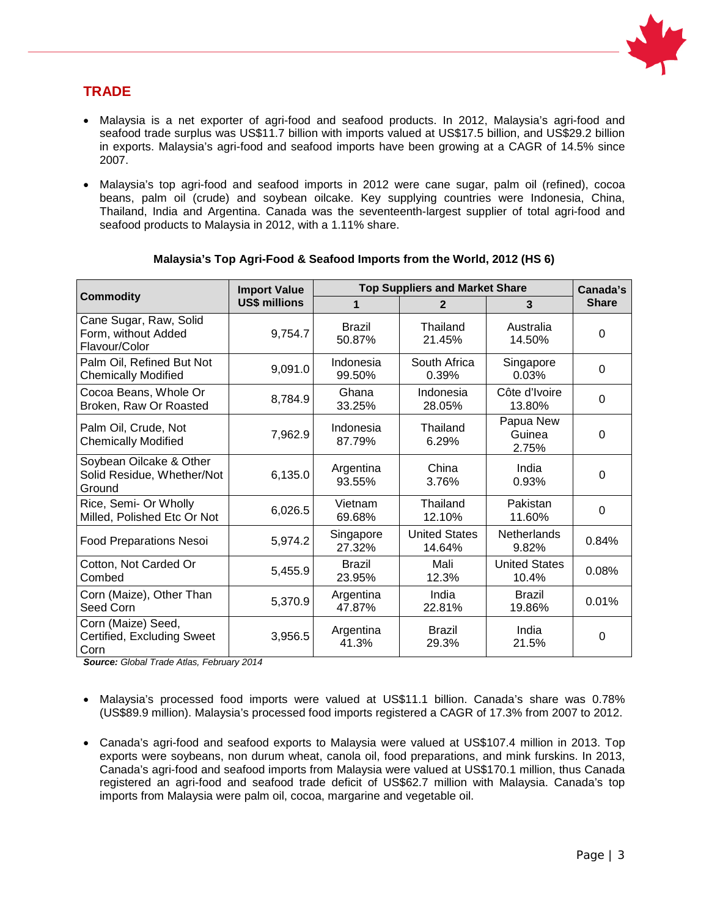

### **TRADE**

- Malaysia is a net exporter of agri-food and seafood products. In 2012, Malaysia's agri-food and seafood trade surplus was US\$11.7 billion with imports valued at US\$17.5 billion, and US\$29.2 billion in exports. Malaysia's agri-food and seafood imports have been growing at a CAGR of 14.5% since 2007.
- Malaysia's top agri-food and seafood imports in 2012 were cane sugar, palm oil (refined), cocoa beans, palm oil (crude) and soybean oilcake. Key supplying countries were Indonesia, China, Thailand, India and Argentina. Canada was the seventeenth-largest supplier of total agri-food and seafood products to Malaysia in 2012, with a 1.11% share.

|                                                                 | <b>Import Value</b>  |                         | <b>Top Suppliers and Market Share</b> |                               | Canada's     |
|-----------------------------------------------------------------|----------------------|-------------------------|---------------------------------------|-------------------------------|--------------|
| <b>Commodity</b>                                                | <b>US\$ millions</b> | 1                       | 3<br>$\overline{2}$                   |                               | <b>Share</b> |
| Cane Sugar, Raw, Solid<br>Form, without Added<br>Flavour/Color  | 9,754.7              | Brazil<br>50.87%        | Thailand<br>21.45%                    | Australia<br>14.50%           | $\Omega$     |
| Palm Oil, Refined But Not<br><b>Chemically Modified</b>         | 9,091.0              | Indonesia<br>99.50%     | South Africa<br>0.39%                 | Singapore<br>0.03%            | $\Omega$     |
| Cocoa Beans, Whole Or<br>Broken, Raw Or Roasted                 | 8,784.9              | Ghana<br>33.25%         | Indonesia<br>28.05%                   | Côte d'Ivoire<br>13.80%       | $\Omega$     |
| Palm Oil, Crude, Not<br><b>Chemically Modified</b>              | 7,962.9              | Indonesia<br>87.79%     | Thailand<br>6.29%                     | Papua New<br>Guinea<br>2.75%  | $\Omega$     |
| Soybean Oilcake & Other<br>Solid Residue, Whether/Not<br>Ground | 6,135.0              | Argentina<br>93.55%     | China<br>3.76%                        | India<br>0.93%                | $\Omega$     |
| Rice, Semi- Or Wholly<br>Milled, Polished Etc Or Not            | 6,026.5              | Vietnam<br>69.68%       | Thailand<br>12.10%                    | Pakistan<br>11.60%            | 0            |
| Food Preparations Nesoi                                         | 5,974.2              | Singapore<br>27.32%     | <b>United States</b><br>14.64%        | <b>Netherlands</b><br>9.82%   | 0.84%        |
| Cotton, Not Carded Or<br>Combed                                 | 5,455.9              | <b>Brazil</b><br>23.95% | Mali<br>12.3%                         | <b>United States</b><br>10.4% | 0.08%        |
| Corn (Maize), Other Than<br>Seed Corn                           | 5,370.9              | Argentina<br>47.87%     | India<br>22.81%                       | <b>Brazil</b><br>19.86%       | 0.01%        |
| Corn (Maize) Seed,<br>Certified, Excluding Sweet<br>Corn        | 3,956.5              | Argentina<br>41.3%      | <b>Brazil</b><br>29.3%                | India<br>21.5%                | $\Omega$     |

### **Malaysia's Top Agri-Food & Seafood Imports from the World, 2012 (HS 6)**

*Source: Global Trade Atlas, February 2014*

- Malaysia's processed food imports were valued at US\$11.1 billion. Canada's share was 0.78% (US\$89.9 million). Malaysia's processed food imports registered a CAGR of 17.3% from 2007 to 2012.
- Canada's agri-food and seafood exports to Malaysia were valued at US\$107.4 million in 2013. Top exports were soybeans, non durum wheat, canola oil, food preparations, and mink furskins. In 2013, Canada's agri-food and seafood imports from Malaysia were valued at US\$170.1 million, thus Canada registered an agri-food and seafood trade deficit of US\$62.7 million with Malaysia. Canada's top imports from Malaysia were palm oil, cocoa, margarine and vegetable oil.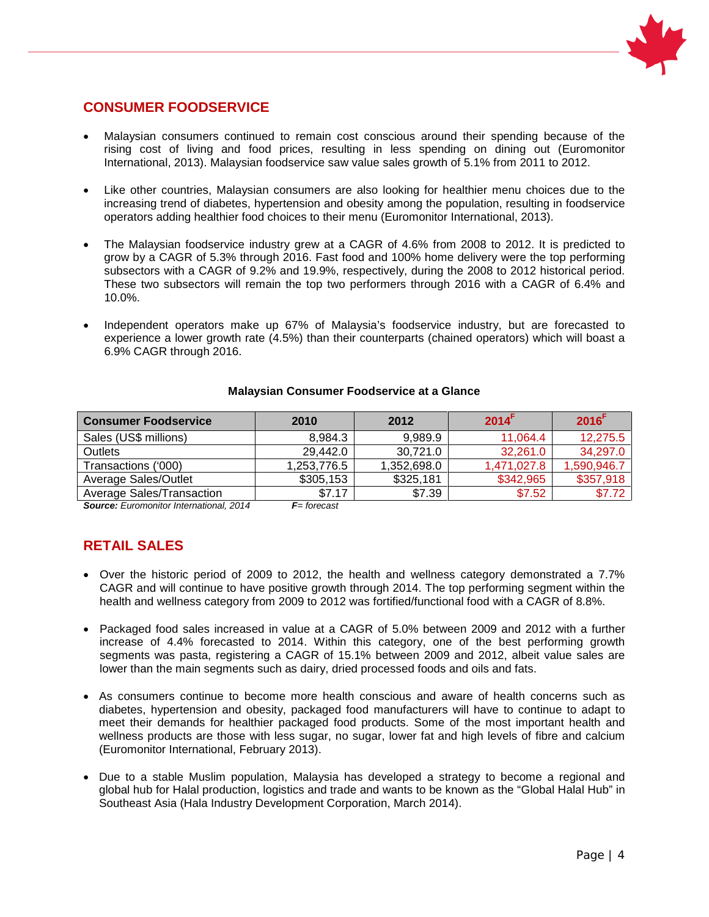

### **CONSUMER FOODSERVICE**

- Malaysian consumers continued to remain cost conscious around their spending because of the rising cost of living and food prices, resulting in less spending on dining out (Euromonitor International, 2013). Malaysian foodservice saw value sales growth of 5.1% from 2011 to 2012.
- Like other countries, Malaysian consumers are also looking for healthier menu choices due to the increasing trend of diabetes, hypertension and obesity among the population, resulting in foodservice operators adding healthier food choices to their menu (Euromonitor International, 2013).
- The Malaysian foodservice industry grew at a CAGR of 4.6% from 2008 to 2012. It is predicted to grow by a CAGR of 5.3% through 2016. Fast food and 100% home delivery were the top performing subsectors with a CAGR of 9.2% and 19.9%, respectively, during the 2008 to 2012 historical period. These two subsectors will remain the top two performers through 2016 with a CAGR of 6.4% and 10.0%.
- Independent operators make up 67% of Malaysia's foodservice industry, but are forecasted to experience a lower growth rate (4.5%) than their counterparts (chained operators) which will boast a 6.9% CAGR through 2016.

| <b>Consumer Foodservice</b>                                                                                                                                                                                                                                                                                                                   | 2010        | 2012        | 2014 <sup>F</sup> | $2016$ <sup>F</sup> |
|-----------------------------------------------------------------------------------------------------------------------------------------------------------------------------------------------------------------------------------------------------------------------------------------------------------------------------------------------|-------------|-------------|-------------------|---------------------|
| Sales (US\$ millions)                                                                                                                                                                                                                                                                                                                         | 8,984.3     | 9.989.9     | 11.064.4          | 12,275.5            |
| <b>Outlets</b>                                                                                                                                                                                                                                                                                                                                | 29,442.0    | 30,721.0    | 32,261.0          | 34,297.0            |
| Transactions ('000)                                                                                                                                                                                                                                                                                                                           | 1,253,776.5 | 1,352,698.0 | 1.471.027.8       | 1,590,946.7         |
| <b>Average Sales/Outlet</b>                                                                                                                                                                                                                                                                                                                   | \$305,153   | \$325,181   | \$342,965         | \$357,918           |
| Average Sales/Transaction                                                                                                                                                                                                                                                                                                                     | \$7.17      | \$7.39      | \$7.52            | \$7.72              |
| $\bullet$ $\qquad$ $\qquad$ $\qquad$ $\qquad$ $\qquad$ $\qquad$ $\qquad$ $\qquad$ $\qquad$ $\qquad$ $\qquad$ $\qquad$ $\qquad$ $\qquad$ $\qquad$ $\qquad$ $\qquad$ $\qquad$ $\qquad$ $\qquad$ $\qquad$ $\qquad$ $\qquad$ $\qquad$ $\qquad$ $\qquad$ $\qquad$ $\qquad$ $\qquad$ $\qquad$ $\qquad$ $\qquad$ $\qquad$ $\qquad$ $\qquad$ $\qquad$ | $   -$      |             |                   |                     |

#### **Malaysian Consumer Foodservice at a Glance**

*Source: Euromonitor International, 2014 F= forecast*

### **RETAIL SALES**

- Over the historic period of 2009 to 2012, the health and wellness category demonstrated a 7.7% CAGR and will continue to have positive growth through 2014. The top performing segment within the health and wellness category from 2009 to 2012 was fortified/functional food with a CAGR of 8.8%.
- Packaged food sales increased in value at a CAGR of 5.0% between 2009 and 2012 with a further increase of 4.4% forecasted to 2014. Within this category, one of the best performing growth segments was pasta, registering a CAGR of 15.1% between 2009 and 2012, albeit value sales are lower than the main segments such as dairy, dried processed foods and oils and fats.
- As consumers continue to become more health conscious and aware of health concerns such as diabetes, hypertension and obesity, packaged food manufacturers will have to continue to adapt to meet their demands for healthier packaged food products. Some of the most important health and wellness products are those with less sugar, no sugar, lower fat and high levels of fibre and calcium (Euromonitor International, February 2013).
- Due to a stable Muslim population, Malaysia has developed a strategy to become a regional and global hub for Halal production, logistics and trade and wants to be known as the "Global Halal Hub" in Southeast Asia (Hala Industry Development Corporation, March 2014).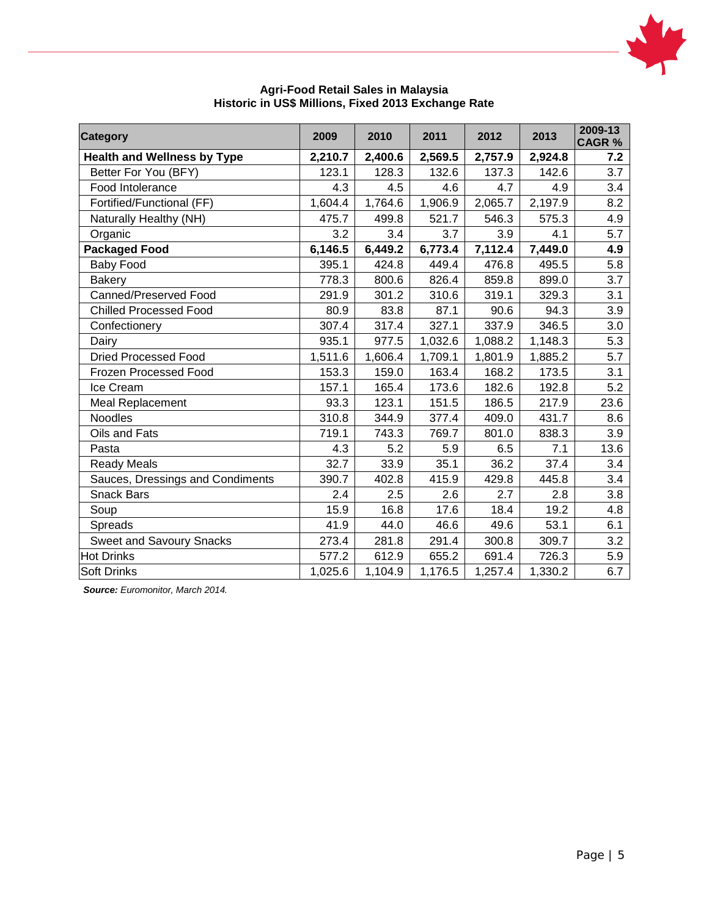

| <b>Category</b>                    | 2009    | 2010    | 2011    | 2012    | 2013    | 2009-13<br><b>CAGR %</b> |
|------------------------------------|---------|---------|---------|---------|---------|--------------------------|
| <b>Health and Wellness by Type</b> | 2,210.7 | 2,400.6 | 2,569.5 | 2,757.9 | 2,924.8 | 7.2                      |
| Better For You (BFY)               | 123.1   | 128.3   | 132.6   | 137.3   | 142.6   | 3.7                      |
| Food Intolerance                   | 4.3     | 4.5     | 4.6     | 4.7     | 4.9     | 3.4                      |
| Fortified/Functional (FF)          | 1,604.4 | 1,764.6 | 1,906.9 | 2,065.7 | 2,197.9 | 8.2                      |
| Naturally Healthy (NH)             | 475.7   | 499.8   | 521.7   | 546.3   | 575.3   | 4.9                      |
| Organic                            | 3.2     | 3.4     | 3.7     | 3.9     | 4.1     | 5.7                      |
| <b>Packaged Food</b>               | 6,146.5 | 6,449.2 | 6,773.4 | 7,112.4 | 7,449.0 | 4.9                      |
| Baby Food                          | 395.1   | 424.8   | 449.4   | 476.8   | 495.5   | 5.8                      |
| <b>Bakery</b>                      | 778.3   | 800.6   | 826.4   | 859.8   | 899.0   | 3.7                      |
| Canned/Preserved Food              | 291.9   | 301.2   | 310.6   | 319.1   | 329.3   | 3.1                      |
| <b>Chilled Processed Food</b>      | 80.9    | 83.8    | 87.1    | 90.6    | 94.3    | 3.9                      |
| Confectionery                      | 307.4   | 317.4   | 327.1   | 337.9   | 346.5   | 3.0                      |
| Dairy                              | 935.1   | 977.5   | 1,032.6 | 1,088.2 | 1,148.3 | 5.3                      |
| <b>Dried Processed Food</b>        | 1,511.6 | 1,606.4 | 1,709.1 | 1,801.9 | 1,885.2 | 5.7                      |
| Frozen Processed Food              | 153.3   | 159.0   | 163.4   | 168.2   | 173.5   | 3.1                      |
| Ice Cream                          | 157.1   | 165.4   | 173.6   | 182.6   | 192.8   | 5.2                      |
| Meal Replacement                   | 93.3    | 123.1   | 151.5   | 186.5   | 217.9   | 23.6                     |
| <b>Noodles</b>                     | 310.8   | 344.9   | 377.4   | 409.0   | 431.7   | 8.6                      |
| Oils and Fats                      | 719.1   | 743.3   | 769.7   | 801.0   | 838.3   | 3.9                      |
| Pasta                              | 4.3     | 5.2     | 5.9     | 6.5     | 7.1     | 13.6                     |
| <b>Ready Meals</b>                 | 32.7    | 33.9    | 35.1    | 36.2    | 37.4    | 3.4                      |
| Sauces, Dressings and Condiments   | 390.7   | 402.8   | 415.9   | 429.8   | 445.8   | 3.4                      |
| <b>Snack Bars</b>                  | 2.4     | 2.5     | 2.6     | 2.7     | 2.8     | 3.8                      |
| Soup                               | 15.9    | 16.8    | 17.6    | 18.4    | 19.2    | 4.8                      |
| Spreads                            | 41.9    | 44.0    | 46.6    | 49.6    | 53.1    | 6.1                      |
| <b>Sweet and Savoury Snacks</b>    | 273.4   | 281.8   | 291.4   | 300.8   | 309.7   | 3.2                      |
| <b>Hot Drinks</b>                  | 577.2   | 612.9   | 655.2   | 691.4   | 726.3   | 5.9                      |
| <b>Soft Drinks</b>                 | 1,025.6 | 1,104.9 | 1,176.5 | 1,257.4 | 1,330.2 | 6.7                      |

#### **Agri-Food Retail Sales in Malaysia Historic in US\$ Millions, Fixed 2013 Exchange Rate**

*Source: Euromonitor, March 2014.*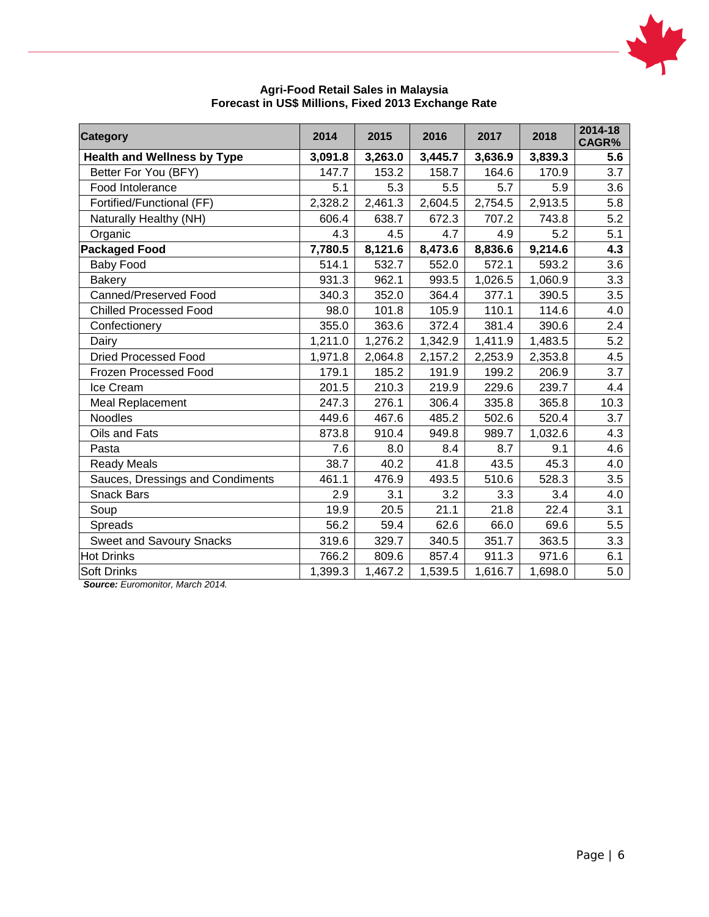

| <b>Category</b>                    | 2014    | 2015    | 2016    | 2017    | 2018    | 2014-18<br>CAGR% |
|------------------------------------|---------|---------|---------|---------|---------|------------------|
| <b>Health and Wellness by Type</b> | 3,091.8 | 3,263.0 | 3,445.7 | 3,636.9 | 3,839.3 | 5.6              |
| Better For You (BFY)               | 147.7   | 153.2   | 158.7   | 164.6   | 170.9   | 3.7              |
| Food Intolerance                   | 5.1     | 5.3     | 5.5     | 5.7     | 5.9     | 3.6              |
| Fortified/Functional (FF)          | 2,328.2 | 2,461.3 | 2,604.5 | 2,754.5 | 2,913.5 | 5.8              |
| Naturally Healthy (NH)             | 606.4   | 638.7   | 672.3   | 707.2   | 743.8   | 5.2              |
| Organic                            | 4.3     | 4.5     | 4.7     | 4.9     | 5.2     | 5.1              |
| <b>Packaged Food</b>               | 7,780.5 | 8,121.6 | 8,473.6 | 8,836.6 | 9,214.6 | 4.3              |
| <b>Baby Food</b>                   | 514.1   | 532.7   | 552.0   | 572.1   | 593.2   | 3.6              |
| <b>Bakery</b>                      | 931.3   | 962.1   | 993.5   | 1,026.5 | 1,060.9 | 3.3              |
| Canned/Preserved Food              | 340.3   | 352.0   | 364.4   | 377.1   | 390.5   | 3.5              |
| <b>Chilled Processed Food</b>      | 98.0    | 101.8   | 105.9   | 110.1   | 114.6   | 4.0              |
| Confectionery                      | 355.0   | 363.6   | 372.4   | 381.4   | 390.6   | 2.4              |
| Dairy                              | 1,211.0 | 1,276.2 | 1,342.9 | 1,411.9 | 1,483.5 | 5.2              |
| <b>Dried Processed Food</b>        | 1,971.8 | 2,064.8 | 2,157.2 | 2,253.9 | 2,353.8 | 4.5              |
| Frozen Processed Food              | 179.1   | 185.2   | 191.9   | 199.2   | 206.9   | 3.7              |
| Ice Cream                          | 201.5   | 210.3   | 219.9   | 229.6   | 239.7   | 4.4              |
| Meal Replacement                   | 247.3   | 276.1   | 306.4   | 335.8   | 365.8   | 10.3             |
| <b>Noodles</b>                     | 449.6   | 467.6   | 485.2   | 502.6   | 520.4   | 3.7              |
| Oils and Fats                      | 873.8   | 910.4   | 949.8   | 989.7   | 1,032.6 | 4.3              |
| Pasta                              | 7.6     | 8.0     | 8.4     | 8.7     | 9.1     | 4.6              |
| <b>Ready Meals</b>                 | 38.7    | 40.2    | 41.8    | 43.5    | 45.3    | 4.0              |
| Sauces, Dressings and Condiments   | 461.1   | 476.9   | 493.5   | 510.6   | 528.3   | 3.5              |
| <b>Snack Bars</b>                  | 2.9     | 3.1     | 3.2     | 3.3     | 3.4     | 4.0              |
| Soup                               | 19.9    | 20.5    | 21.1    | 21.8    | 22.4    | 3.1              |
| Spreads                            | 56.2    | 59.4    | 62.6    | 66.0    | 69.6    | 5.5              |
| <b>Sweet and Savoury Snacks</b>    | 319.6   | 329.7   | 340.5   | 351.7   | 363.5   | 3.3              |
| <b>Hot Drinks</b>                  | 766.2   | 809.6   | 857.4   | 911.3   | 971.6   | 6.1              |
| <b>Soft Drinks</b>                 | 1,399.3 | 1,467.2 | 1,539.5 | 1,616.7 | 1,698.0 | 5.0              |

#### **Agri-Food Retail Sales in Malaysia Forecast in US\$ Millions, Fixed 2013 Exchange Rate**

*Source: Euromonitor, March 2014.*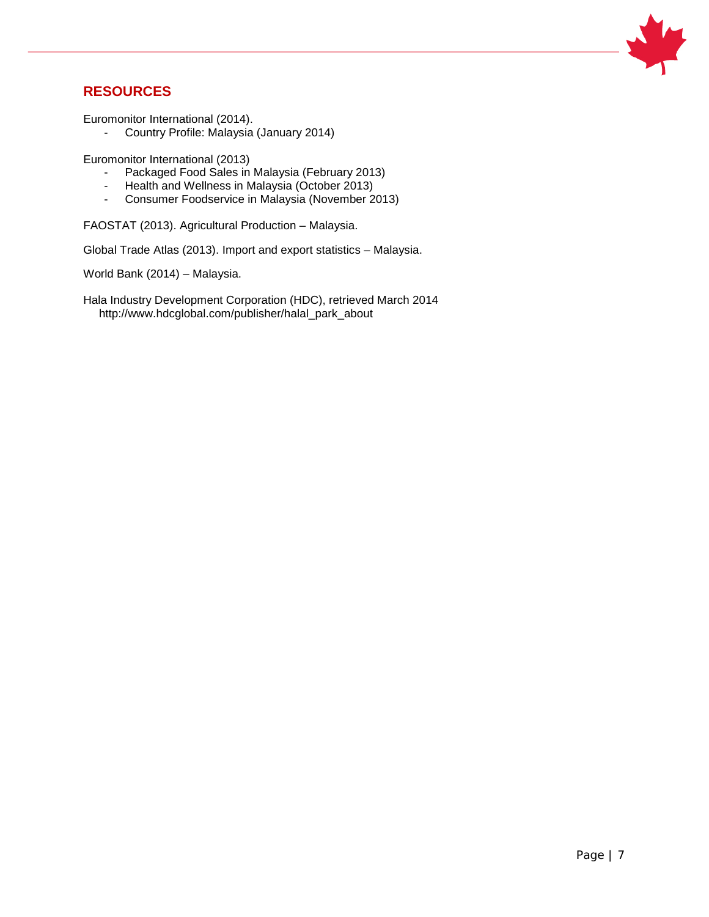

### **RESOURCES**

Euromonitor International (2014).

- Country Profile: Malaysia (January 2014)

Euromonitor International (2013)

- Packaged Food Sales in Malaysia (February 2013)
- Health and Wellness in Malaysia (October 2013)
- Consumer Foodservice in Malaysia (November 2013)

FAOSTAT (2013). Agricultural Production – Malaysia.

Global Trade Atlas (2013). Import and export statistics – Malaysia.

World Bank (2014) – Malaysia.

Hala Industry Development Corporation (HDC), retrieved March 2014 http://www.hdcglobal.com/publisher/halal\_park\_about